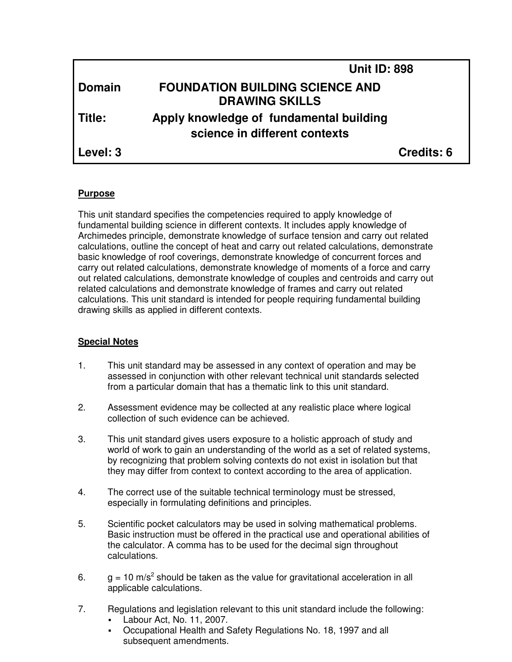|               | <b>Unit ID: 898</b>                                                      |            |
|---------------|--------------------------------------------------------------------------|------------|
| <b>Domain</b> | <b>FOUNDATION BUILDING SCIENCE AND</b><br><b>DRAWING SKILLS</b>          |            |
| Title:        | Apply knowledge of fundamental building<br>science in different contexts |            |
| Level: 3      |                                                                          | Credits: 6 |

### **Purpose**

This unit standard specifies the competencies required to apply knowledge of fundamental building science in different contexts. It includes apply knowledge of Archimedes principle, demonstrate knowledge of surface tension and carry out related calculations, outline the concept of heat and carry out related calculations, demonstrate basic knowledge of roof coverings, demonstrate knowledge of concurrent forces and carry out related calculations, demonstrate knowledge of moments of a force and carry out related calculations, demonstrate knowledge of couples and centroids and carry out related calculations and demonstrate knowledge of frames and carry out related calculations. This unit standard is intended for people requiring fundamental building drawing skills as applied in different contexts.

## **Special Notes**

- 1. This unit standard may be assessed in any context of operation and may be assessed in conjunction with other relevant technical unit standards selected from a particular domain that has a thematic link to this unit standard.
- 2. Assessment evidence may be collected at any realistic place where logical collection of such evidence can be achieved.
- 3. This unit standard gives users exposure to a holistic approach of study and world of work to gain an understanding of the world as a set of related systems, by recognizing that problem solving contexts do not exist in isolation but that they may differ from context to context according to the area of application.
- 4. The correct use of the suitable technical terminology must be stressed, especially in formulating definitions and principles.
- 5. Scientific pocket calculators may be used in solving mathematical problems. Basic instruction must be offered in the practical use and operational abilities of the calculator. A comma has to be used for the decimal sign throughout calculations.
- 6.  $g = 10 \text{ m/s}^2$  should be taken as the value for gravitational acceleration in all applicable calculations.
- 7. Regulations and legislation relevant to this unit standard include the following:
	- Labour Act, No. 11, 2007.
	- Occupational Health and Safety Regulations No. 18, 1997 and all subsequent amendments.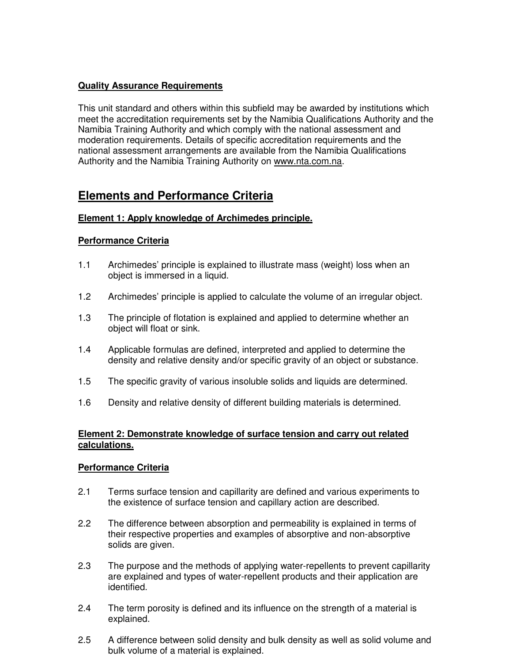### **Quality Assurance Requirements**

This unit standard and others within this subfield may be awarded by institutions which meet the accreditation requirements set by the Namibia Qualifications Authority and the Namibia Training Authority and which comply with the national assessment and moderation requirements. Details of specific accreditation requirements and the national assessment arrangements are available from the Namibia Qualifications Authority and the Namibia Training Authority on www.nta.com.na.

# **Elements and Performance Criteria**

### **Element 1: Apply knowledge of Archimedes principle.**

### **Performance Criteria**

- 1.1 Archimedes' principle is explained to illustrate mass (weight) loss when an object is immersed in a liquid.
- 1.2 Archimedes' principle is applied to calculate the volume of an irregular object.
- 1.3 The principle of flotation is explained and applied to determine whether an object will float or sink.
- 1.4 Applicable formulas are defined, interpreted and applied to determine the density and relative density and/or specific gravity of an object or substance.
- 1.5 The specific gravity of various insoluble solids and liquids are determined.
- 1.6 Density and relative density of different building materials is determined.

### **Element 2: Demonstrate knowledge of surface tension and carry out related calculations.**

- 2.1 Terms surface tension and capillarity are defined and various experiments to the existence of surface tension and capillary action are described.
- 2.2 The difference between absorption and permeability is explained in terms of their respective properties and examples of absorptive and non-absorptive solids are given.
- 2.3 The purpose and the methods of applying water-repellents to prevent capillarity are explained and types of water-repellent products and their application are identified.
- 2.4 The term porosity is defined and its influence on the strength of a material is explained.
- 2.5 A difference between solid density and bulk density as well as solid volume and bulk volume of a material is explained.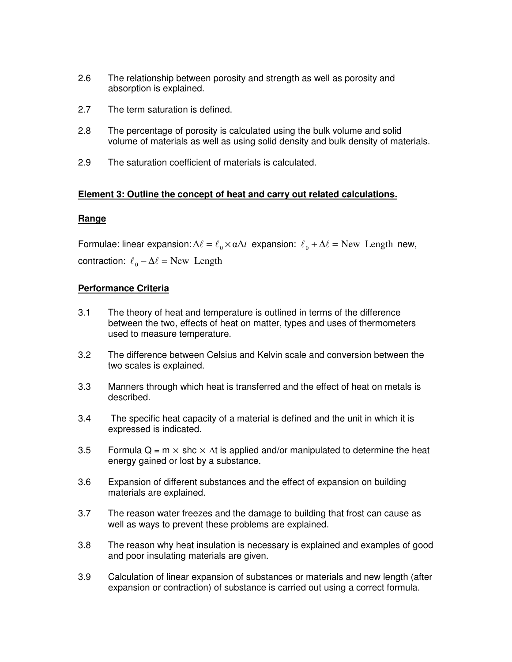- 2.6 The relationship between porosity and strength as well as porosity and absorption is explained.
- 2.7 The term saturation is defined.
- 2.8 The percentage of porosity is calculated using the bulk volume and solid volume of materials as well as using solid density and bulk density of materials.
- 2.9 The saturation coefficient of materials is calculated.

#### **Element 3: Outline the concept of heat and carry out related calculations.**

#### **Range**

Formulae: linear expansion:  $\Delta \ell = \ell_0 \times \alpha \Delta t$  expansion:  $\ell_0 + \Delta \ell =$  New Length new, contraction:  $\ell_0 - \Delta \ell = \text{New Length}$ 

- 3.1 The theory of heat and temperature is outlined in terms of the difference between the two, effects of heat on matter, types and uses of thermometers used to measure temperature.
- 3.2 The difference between Celsius and Kelvin scale and conversion between the two scales is explained.
- 3.3 Manners through which heat is transferred and the effect of heat on metals is described.
- 3.4 The specific heat capacity of a material is defined and the unit in which it is expressed is indicated.
- 3.5 Formula Q = m  $\times$  shc  $\times$   $\Delta t$  is applied and/or manipulated to determine the heat energy gained or lost by a substance.
- 3.6 Expansion of different substances and the effect of expansion on building materials are explained.
- 3.7 The reason water freezes and the damage to building that frost can cause as well as ways to prevent these problems are explained.
- 3.8 The reason why heat insulation is necessary is explained and examples of good and poor insulating materials are given.
- 3.9 Calculation of linear expansion of substances or materials and new length (after expansion or contraction) of substance is carried out using a correct formula.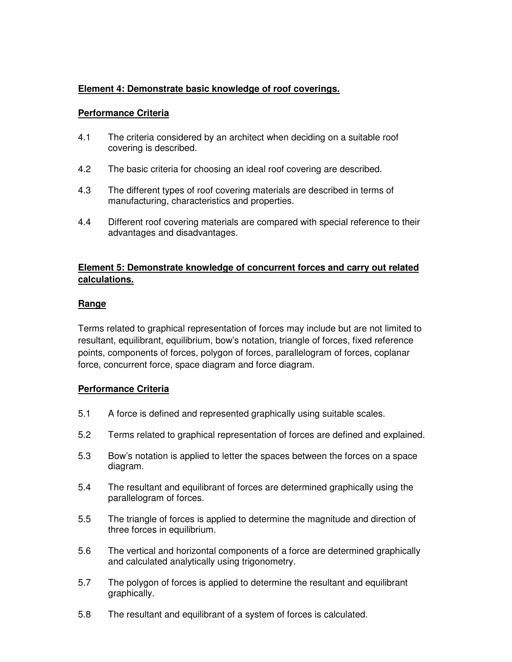## **Element 4: Demonstrate basic knowledge of roof coverings.**

### **Performance Criteria**

- 4.1 The criteria considered by an architect when deciding on a suitable roof covering is described.
- 4.2 The basic criteria for choosing an ideal roof covering are described.
- 4.3 The different types of roof covering materials are described in terms of manufacturing, characteristics and properties.
- 4.4 Different roof covering materials are compared with special reference to their advantages and disadvantages.

### **Element 5: Demonstrate knowledge of concurrent forces and carry out related calculations.**

### **Range**

Terms related to graphical representation of forces may include but are not limited to resultant, equilibrant, equilibrium, bow's notation, triangle of forces, fixed reference points, components of forces, polygon of forces, parallelogram of forces, coplanar force, concurrent force, space diagram and force diagram.

- 5.1 A force is defined and represented graphically using suitable scales.
- 5.2 Terms related to graphical representation of forces are defined and explained.
- 5.3 Bow's notation is applied to letter the spaces between the forces on a space diagram.
- 5.4 The resultant and equilibrant of forces are determined graphically using the parallelogram of forces.
- 5.5 The triangle of forces is applied to determine the magnitude and direction of three forces in equilibrium.
- 5.6 The vertical and horizontal components of a force are determined graphically and calculated analytically using trigonometry.
- 5.7 The polygon of forces is applied to determine the resultant and equilibrant graphically.
- 5.8 The resultant and equilibrant of a system of forces is calculated.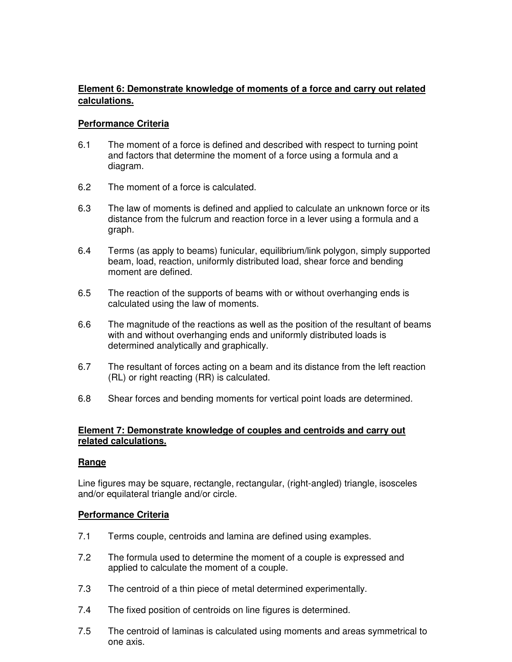## **Element 6: Demonstrate knowledge of moments of a force and carry out related calculations.**

### **Performance Criteria**

- 6.1 The moment of a force is defined and described with respect to turning point and factors that determine the moment of a force using a formula and a diagram.
- 6.2 The moment of a force is calculated.
- 6.3 The law of moments is defined and applied to calculate an unknown force or its distance from the fulcrum and reaction force in a lever using a formula and a graph.
- 6.4 Terms (as apply to beams) funicular, equilibrium/link polygon, simply supported beam, load, reaction, uniformly distributed load, shear force and bending moment are defined.
- 6.5 The reaction of the supports of beams with or without overhanging ends is calculated using the law of moments.
- 6.6 The magnitude of the reactions as well as the position of the resultant of beams with and without overhanging ends and uniformly distributed loads is determined analytically and graphically.
- 6.7 The resultant of forces acting on a beam and its distance from the left reaction (RL) or right reacting (RR) is calculated.
- 6.8 Shear forces and bending moments for vertical point loads are determined.

### **Element 7: Demonstrate knowledge of couples and centroids and carry out related calculations.**

### **Range**

Line figures may be square, rectangle, rectangular, (right-angled) triangle, isosceles and/or equilateral triangle and/or circle.

- 7.1 Terms couple, centroids and lamina are defined using examples.
- 7.2 The formula used to determine the moment of a couple is expressed and applied to calculate the moment of a couple.
- 7.3 The centroid of a thin piece of metal determined experimentally.
- 7.4 The fixed position of centroids on line figures is determined.
- 7.5 The centroid of laminas is calculated using moments and areas symmetrical to one axis.